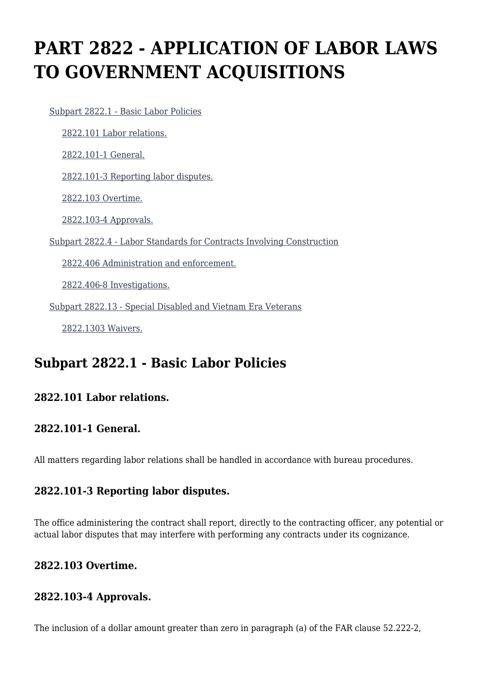# **PART 2822 - APPLICATION OF LABOR LAWS TO GOVERNMENT ACQUISITIONS**

 [Subpart 2822.1 - Basic Labor Policies](https://login.acquisition.gov/%5Brp:link:jar-part-2822%5D#Subpart_2822_1_T48_601163191) [2822.101 Labor relations.](https://login.acquisition.gov/%5Brp:link:jar-part-2822%5D#Section_2822_101_T48_60116319111) [2822.101-1 General.](https://login.acquisition.gov/%5Brp:link:jar-part-2822%5D#Section_2822_101_1_T48_60116319112) [2822.101-3 Reporting labor disputes.](https://login.acquisition.gov/%5Brp:link:jar-part-2822%5D#Section_2822_101_3_T48_60116319113) [2822.103 Overtime.](https://login.acquisition.gov/%5Brp:link:jar-part-2822%5D#Section_2822_103_T48_60116319114) [2822.103-4 Approvals.](https://login.acquisition.gov/%5Brp:link:jar-part-2822%5D#Section_2822_103_4_T48_60116319115) [Subpart 2822.4 - Labor Standards for Contracts Involving Construction](https://login.acquisition.gov/%5Brp:link:jar-part-2822%5D#Subpart_2822_4_T48_601163192) [2822.406 Administration and enforcement.](https://login.acquisition.gov/%5Brp:link:jar-part-2822%5D#Section_2822_406_T48_60116319211) [2822.406-8 Investigations.](https://login.acquisition.gov/%5Brp:link:jar-part-2822%5D#Section_2822_406_8_T48_60116319212) [Subpart 2822.13 - Special Disabled and Vietnam Era Veterans](https://login.acquisition.gov/%5Brp:link:jar-part-2822%5D#Subpart_2822_13_T48_601163193) [2822.1303 Waivers.](https://login.acquisition.gov/%5Brp:link:jar-part-2822%5D#Section_2822_1303_T48_60116319311)

### **Subpart 2822.1 - Basic Labor Policies**

### **2822.101 Labor relations.**

#### **2822.101-1 General.**

All matters regarding labor relations shall be handled in accordance with bureau procedures.

#### **2822.101-3 Reporting labor disputes.**

The office administering the contract shall report, directly to the contracting officer, any potential or actual labor disputes that may interfere with performing any contracts under its cognizance.

#### **2822.103 Overtime.**

#### **2822.103-4 Approvals.**

The inclusion of a dollar amount greater than zero in paragraph (a) of the FAR clause 52.222-2,